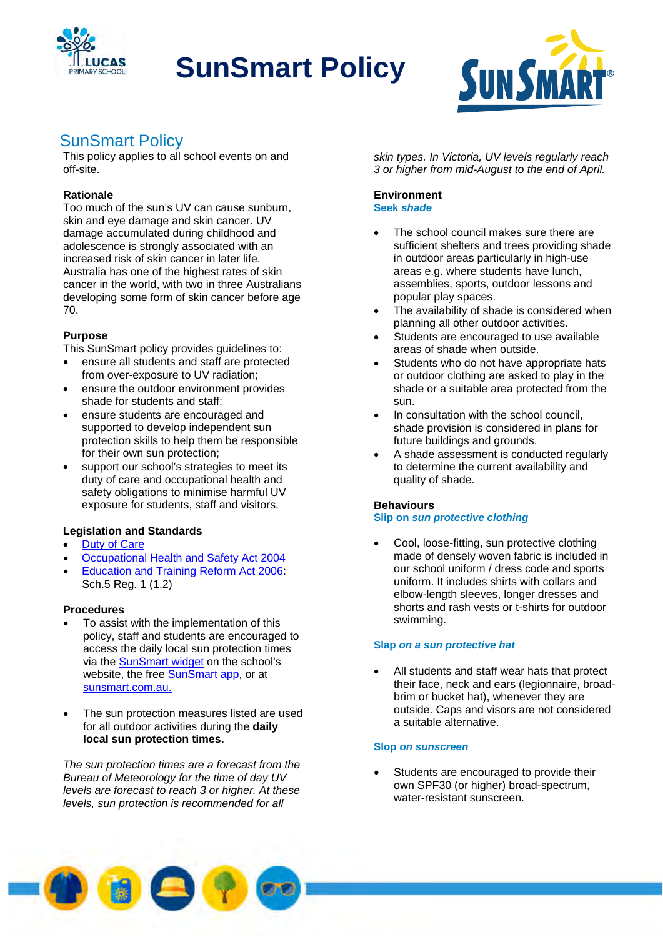

# **SunSmart Policy**



# SunSmart Policy

This policy applies to all school events on and off-site.

# **Rationale**

Too much of the sun's UV can cause sunburn, skin and eye damage and skin cancer. UV damage accumulated during childhood and adolescence is strongly associated with an increased risk of skin cancer in later life. Australia has one of the highest rates of skin cancer in the world, with two in three Australians developing some form of skin cancer before age 70.

# **Purpose**

This SunSmart policy provides guidelines to:

- ensure all students and staff are protected from over-exposure to UV radiation;
- ensure the outdoor environment provides shade for students and staff;
- ensure students are encouraged and supported to develop independent sun protection skills to help them be responsible for their own sun protection;
- support our school's strategies to meet its duty of care and occupational health and safety obligations to minimise harmful UV exposure for students, staff and visitors.

# **Legislation and Standards**

- Duty of Care
- Occupational Health and Safety Act 2004
- Education and Training Reform Act 2006: Sch.5 Reg. 1 (1.2)

## **Procedures**

- To assist with the implementation of this policy, staff and students are encouraged to access the daily local sun protection times via the SunSmart widget on the school's website, the free SunSmart app, or at sunsmart.com.au.
- The sun protection measures listed are used for all outdoor activities during the **daily local sun protection times.**

*The sun protection times are a forecast from the Bureau of Meteorology for the time of day UV levels are forecast to reach 3 or higher. At these levels, sun protection is recommended for all* 

*skin types. In Victoria, UV levels regularly reach 3 or higher from mid-August to the end of April.* 

#### **Environment Seek** *shade*

- The school council makes sure there are sufficient shelters and trees providing shade in outdoor areas particularly in high-use areas e.g. where students have lunch, assemblies, sports, outdoor lessons and popular play spaces.
- The availability of shade is considered when planning all other outdoor activities.
- Students are encouraged to use available areas of shade when outside.
- Students who do not have appropriate hats or outdoor clothing are asked to play in the shade or a suitable area protected from the sun.
- In consultation with the school council, shade provision is considered in plans for future buildings and grounds.
- A shade assessment is conducted regularly to determine the current availability and quality of shade.

## **Behaviours**

## **Slip on** *sun protective clothing*

 Cool, loose-fitting, sun protective clothing made of densely woven fabric is included in our school uniform / dress code and sports uniform. It includes shirts with collars and elbow-length sleeves, longer dresses and shorts and rash vests or t-shirts for outdoor swimming.

#### **Slap** *on a sun protective hat*

 All students and staff wear hats that protect their face, neck and ears (legionnaire, broadbrim or bucket hat), whenever they are outside. Caps and visors are not considered a suitable alternative.

## **Slop** *on sunscreen*

 Students are encouraged to provide their own SPF30 (or higher) broad-spectrum, water-resistant sunscreen.